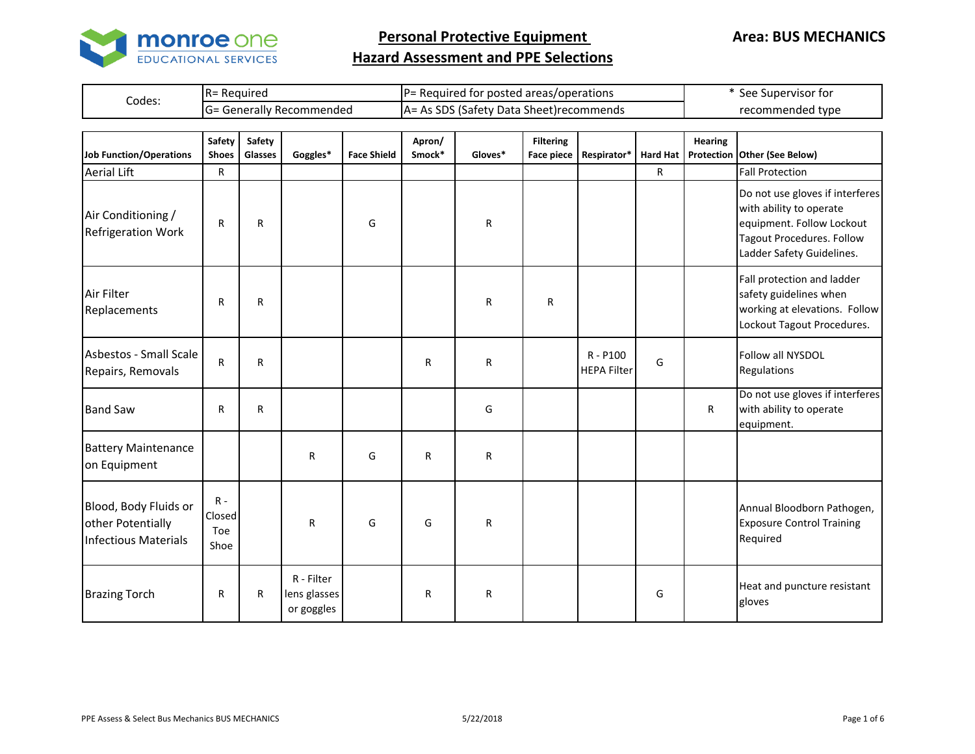

|        | Reauirea<br>≀K=                 | $P =$<br>: Required for posted areas/operations :   | See Supervisor for |
|--------|---------------------------------|-----------------------------------------------------|--------------------|
| Codes: | : Generallv Recommended<br>ו⊏יו | As SDS (Safety Data Sheet) recommends<br>As.<br>IA= | recommended type   |

| <b>Job Function/Operations</b>                                            | Safety<br><b>Shoes</b>         | Safety<br>Glasses | Goggles*                                 | <b>Face Shield</b> | Apron/<br>Smock* | Gloves* | <b>Filtering</b><br><b>Face piece</b> | Respirator*                      | <b>Hard Hat</b> | <b>Hearing</b> | Protection Other (See Below)                                                                                                                             |
|---------------------------------------------------------------------------|--------------------------------|-------------------|------------------------------------------|--------------------|------------------|---------|---------------------------------------|----------------------------------|-----------------|----------------|----------------------------------------------------------------------------------------------------------------------------------------------------------|
| <b>Aerial Lift</b>                                                        | R                              |                   |                                          |                    |                  |         |                                       |                                  | R               |                | <b>Fall Protection</b>                                                                                                                                   |
| Air Conditioning /<br><b>Refrigeration Work</b>                           | R                              | R                 |                                          | G                  |                  | R       |                                       |                                  |                 |                | Do not use gloves if interferes<br>with ability to operate<br>equipment. Follow Lockout<br><b>Tagout Procedures. Follow</b><br>Ladder Safety Guidelines. |
| Air Filter<br>Replacements                                                | R                              | R                 |                                          |                    |                  | R       | R                                     |                                  |                 |                | Fall protection and ladder<br>safety guidelines when<br>working at elevations. Follow<br>Lockout Tagout Procedures.                                      |
| Asbestos - Small Scale<br>Repairs, Removals                               | ${\sf R}$                      | $\mathsf{R}$      |                                          |                    | R                | R       |                                       | $R - P100$<br><b>HEPA Filter</b> | G               |                | Follow all NYSDOL<br>Regulations                                                                                                                         |
| <b>Band Saw</b>                                                           | R                              | R                 |                                          |                    |                  | G       |                                       |                                  |                 | R              | Do not use gloves if interferes<br>with ability to operate<br>equipment.                                                                                 |
| <b>Battery Maintenance</b><br>on Equipment                                |                                |                   | R                                        | G                  | R                | R       |                                       |                                  |                 |                |                                                                                                                                                          |
| Blood, Body Fluids or<br>other Potentially<br><b>Infectious Materials</b> | $R -$<br>Closed<br>Toe<br>Shoe |                   | R                                        | G                  | G                | R       |                                       |                                  |                 |                | Annual Bloodborn Pathogen,<br><b>Exposure Control Training</b><br>Required                                                                               |
| <b>Brazing Torch</b>                                                      | R                              | R                 | R - Filter<br>lens glasses<br>or goggles |                    | R                | R       |                                       |                                  | G               |                | Heat and puncture resistant<br>gloves                                                                                                                    |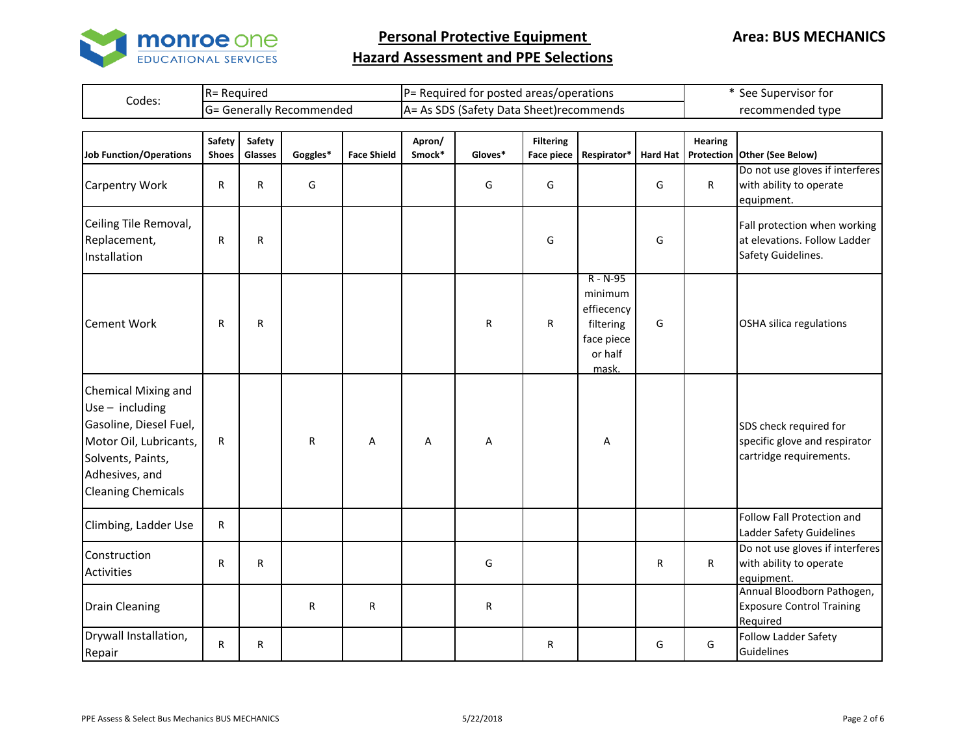

|        | R= Required             | IP= Required for posted areas/operations  | See Supervisor for |
|--------|-------------------------|-------------------------------------------|--------------------|
| Codes: | : Generally Recommended | IA= As SDS (Safety Data Sheet) recommends | recommended type   |

| <b>Job Function/Operations</b>                                                                                                                                          | <b>Safety</b><br><b>Shoes</b> | Safety<br>Glasses | Goggles* | <b>Face Shield</b> | Apron/<br>Smock* | Gloves* | <b>Filtering</b><br><b>Face piece</b> | Respirator*                                                                          | <b>Hard Hat</b> | <b>Hearing</b> | Protection Other (See Below)                                                       |
|-------------------------------------------------------------------------------------------------------------------------------------------------------------------------|-------------------------------|-------------------|----------|--------------------|------------------|---------|---------------------------------------|--------------------------------------------------------------------------------------|-----------------|----------------|------------------------------------------------------------------------------------|
| <b>Carpentry Work</b>                                                                                                                                                   | R                             | R                 | G        |                    |                  | G       | G                                     |                                                                                      | G               | $\mathsf{R}$   | Do not use gloves if interferes<br>with ability to operate<br>equipment.           |
| Ceiling Tile Removal,<br>Replacement,<br>Installation                                                                                                                   | R                             | R                 |          |                    |                  |         | G                                     |                                                                                      | G               |                | Fall protection when working<br>at elevations. Follow Ladder<br>Safety Guidelines. |
| <b>Cement Work</b>                                                                                                                                                      | R                             | R                 |          |                    |                  | R       | $\mathsf{R}$                          | $R - N - 95$<br>minimum<br>effiecency<br>filtering<br>face piece<br>or half<br>mask. | G               |                | OSHA silica regulations                                                            |
| <b>Chemical Mixing and</b><br>Use $-$ including<br>Gasoline, Diesel Fuel,<br>Motor Oil, Lubricants,<br>Solvents, Paints,<br>Adhesives, and<br><b>Cleaning Chemicals</b> | R                             |                   | R        | Α                  | Α                | Α       |                                       | А                                                                                    |                 |                | SDS check required for<br>specific glove and respirator<br>cartridge requirements. |
| Climbing, Ladder Use                                                                                                                                                    | $\mathsf R$                   |                   |          |                    |                  |         |                                       |                                                                                      |                 |                | Follow Fall Protection and<br>Ladder Safety Guidelines                             |
| Construction<br><b>Activities</b>                                                                                                                                       | R                             | R                 |          |                    |                  | G       |                                       |                                                                                      | R               | $\mathsf{R}$   | Do not use gloves if interferes<br>with ability to operate<br>equipment.           |
| <b>Drain Cleaning</b>                                                                                                                                                   |                               |                   | R        | $\mathsf{R}$       |                  | R       |                                       |                                                                                      |                 |                | Annual Bloodborn Pathogen,<br><b>Exposure Control Training</b><br>Required         |
| Drywall Installation,<br>Repair                                                                                                                                         | $\mathsf R$                   | R                 |          |                    |                  |         | R                                     |                                                                                      | G               | G              | <b>Follow Ladder Safety</b><br>Guidelines                                          |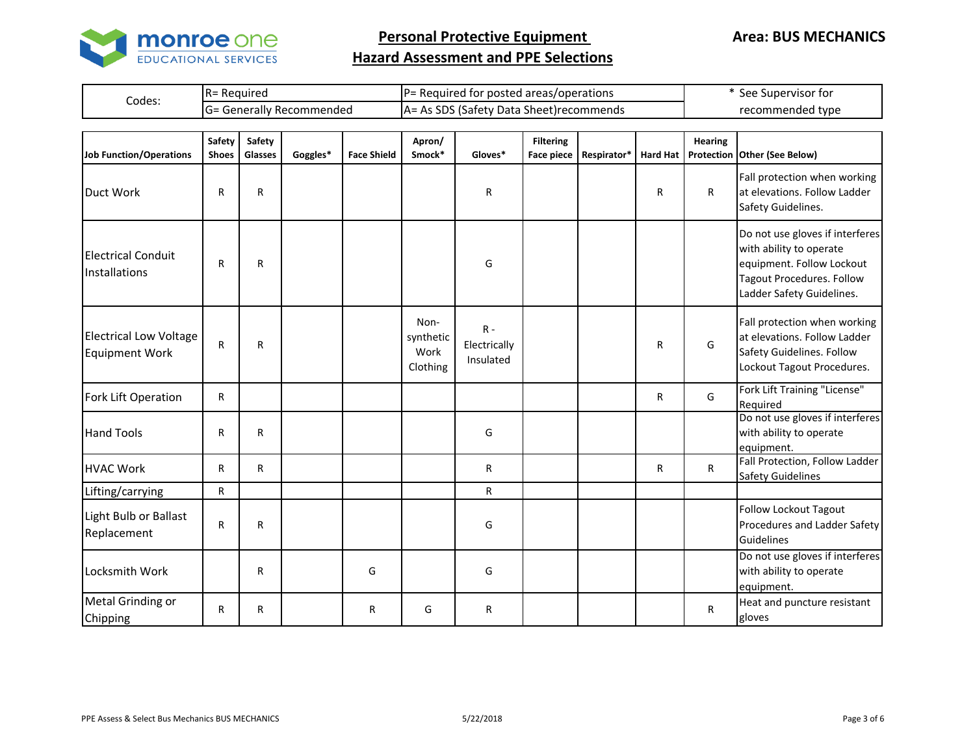

|        | R= Required             | IP= Required for posted areas/operations  | See Supervisor for |
|--------|-------------------------|-------------------------------------------|--------------------|
| Codes: | : Generally Recommended | IA= As SDS (Safety Data Sheet) recommends | recommended type   |

| Job Function/Operations                                | Safety<br><b>Shoes</b> | Safety<br>Glasses | Goggles* | <b>Face Shield</b> | Apron/<br>Smock*                      | Gloves*                            | <b>Filtering</b><br><b>Face piece</b> | Respirator* | <b>Hard Hat</b> | Hearing      | Protection Other (See Below)                                                                                                                      |
|--------------------------------------------------------|------------------------|-------------------|----------|--------------------|---------------------------------------|------------------------------------|---------------------------------------|-------------|-----------------|--------------|---------------------------------------------------------------------------------------------------------------------------------------------------|
| Duct Work                                              | R                      | $\mathsf{R}$      |          |                    |                                       | R                                  |                                       |             | R               | $\mathsf{R}$ | Fall protection when working<br>at elevations. Follow Ladder<br>Safety Guidelines.                                                                |
| <b>Electrical Conduit</b><br>Installations             | R                      | $\mathsf{R}$      |          |                    |                                       | G                                  |                                       |             |                 |              | Do not use gloves if interferes<br>with ability to operate<br>equipment. Follow Lockout<br>Tagout Procedures. Follow<br>Ladder Safety Guidelines. |
| <b>Electrical Low Voltage</b><br><b>Equipment Work</b> | R                      | R                 |          |                    | Non-<br>synthetic<br>Work<br>Clothing | $R -$<br>Electrically<br>Insulated |                                       |             | R               | G            | Fall protection when working<br>at elevations. Follow Ladder<br>Safety Guidelines. Follow<br>Lockout Tagout Procedures.                           |
| Fork Lift Operation                                    | R                      |                   |          |                    |                                       |                                    |                                       |             | R               | G            | Fork Lift Training "License"<br>Required                                                                                                          |
| <b>Hand Tools</b>                                      | R                      | $\mathsf{R}$      |          |                    |                                       | G                                  |                                       |             |                 |              | Do not use gloves if interferes<br>with ability to operate<br>equipment.                                                                          |
| <b>HVAC Work</b>                                       | R                      | R                 |          |                    |                                       | R                                  |                                       |             | R               | $\mathsf{R}$ | Fall Protection, Follow Ladder<br><b>Safety Guidelines</b>                                                                                        |
| Lifting/carrying                                       | R                      |                   |          |                    |                                       | R.                                 |                                       |             |                 |              |                                                                                                                                                   |
| Light Bulb or Ballast<br>Replacement                   | R                      | $\mathsf{R}$      |          |                    |                                       | G                                  |                                       |             |                 |              | <b>Follow Lockout Tagout</b><br>Procedures and Ladder Safety<br>Guidelines                                                                        |
| Locksmith Work                                         |                        | R                 |          | G                  |                                       | G                                  |                                       |             |                 |              | Do not use gloves if interferes<br>with ability to operate<br>equipment.                                                                          |
| Metal Grinding or<br>Chipping                          | R                      | R                 |          | R                  | G                                     | R                                  |                                       |             |                 | $\mathsf{R}$ | Heat and puncture resistant<br>gloves                                                                                                             |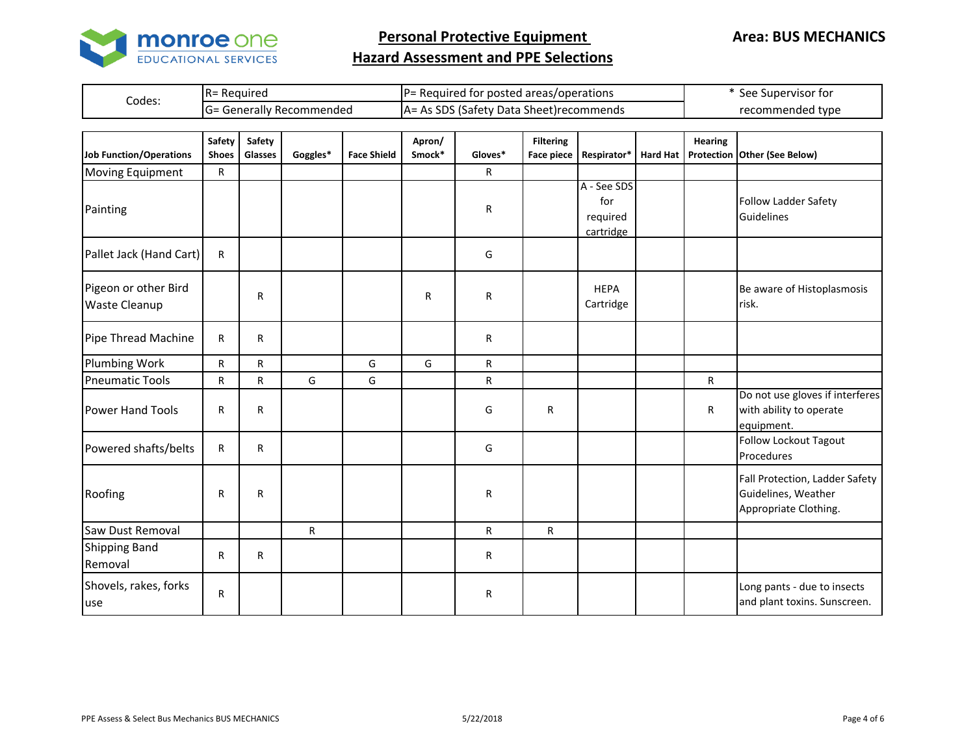

|        | R= Required             | IP= Required for posted areas/operations                                                   | See Supervisor for |
|--------|-------------------------|--------------------------------------------------------------------------------------------|--------------------|
| Codes: | : Generally Recommended | ി <sup>റ</sup> െ (Safety പം<br>∕ Data <sup>c</sup><br>$A=$<br>. Ac 1<br>. Sheet)recommends | recommended type   |

| <b>Job Function/Operations</b>               | Safety<br><b>Shoes</b> | Safety<br><b>Glasses</b> | Goggles*     | <b>Face Shield</b> | Apron/<br>Smock* | Gloves* | <b>Filtering</b><br><b>Face piece</b> | Respirator*                                 | <b>Hard Hat</b> | <b>Hearing</b> | Protection Other (See Below)                                                   |
|----------------------------------------------|------------------------|--------------------------|--------------|--------------------|------------------|---------|---------------------------------------|---------------------------------------------|-----------------|----------------|--------------------------------------------------------------------------------|
| <b>Moving Equipment</b>                      | R                      |                          |              |                    |                  | R       |                                       |                                             |                 |                |                                                                                |
| Painting                                     |                        |                          |              |                    |                  | R       |                                       | A - See SDS<br>for<br>required<br>cartridge |                 |                | <b>Follow Ladder Safety</b><br><b>Guidelines</b>                               |
| Pallet Jack (Hand Cart)                      | R                      |                          |              |                    |                  | G       |                                       |                                             |                 |                |                                                                                |
| Pigeon or other Bird<br><b>Waste Cleanup</b> |                        | $\mathsf{R}$             |              |                    | R                | R       |                                       | <b>HEPA</b><br>Cartridge                    |                 |                | Be aware of Histoplasmosis<br>risk.                                            |
| Pipe Thread Machine                          | R                      | $\mathsf{R}$             |              |                    |                  | R       |                                       |                                             |                 |                |                                                                                |
| Plumbing Work                                | R                      | ${\sf R}$                |              | G                  | G                | R       |                                       |                                             |                 |                |                                                                                |
| <b>Pneumatic Tools</b>                       | $\mathsf{R}$           | $\mathsf{R}$             | G            | G                  |                  | R.      |                                       |                                             |                 | $\mathsf{R}$   |                                                                                |
| <b>Power Hand Tools</b>                      | R                      | R                        |              |                    |                  | G       | R                                     |                                             |                 | R              | Do not use gloves if interferes<br>with ability to operate<br>equipment.       |
| Powered shafts/belts                         | R                      | $\mathsf{R}$             |              |                    |                  | G       |                                       |                                             |                 |                | <b>Follow Lockout Tagout</b><br>Procedures                                     |
| Roofing                                      | R                      | R                        |              |                    |                  | R       |                                       |                                             |                 |                | Fall Protection, Ladder Safety<br>Guidelines, Weather<br>Appropriate Clothing. |
| Saw Dust Removal                             |                        |                          | $\mathsf{R}$ |                    |                  | R       | R                                     |                                             |                 |                |                                                                                |
| <b>Shipping Band</b><br>Removal              | R                      | $\mathsf{R}$             |              |                    |                  | R       |                                       |                                             |                 |                |                                                                                |
| Shovels, rakes, forks<br>use                 | R                      |                          |              |                    |                  | R       |                                       |                                             |                 |                | Long pants - due to insects<br>and plant toxins. Sunscreen.                    |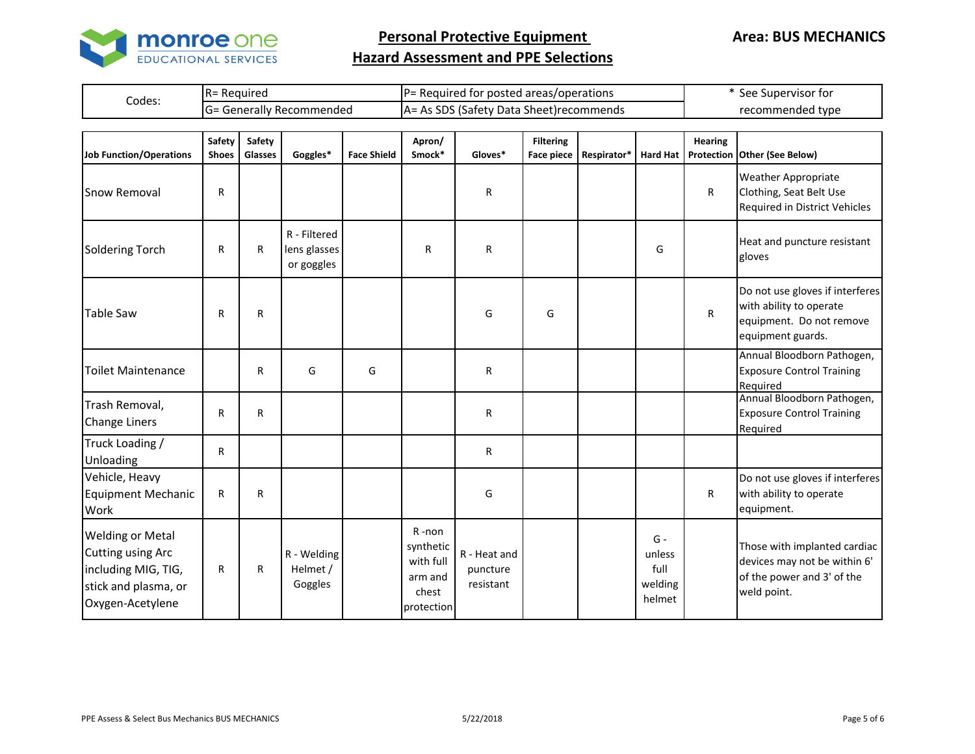

|        | Reguirec              | IP=                                                | see              |
|--------|-----------------------|----------------------------------------------------|------------------|
|        | 1 N –                 | : Required for posted areas/operations             | . Supervisor for |
| Codes: | Generally Recommended | s SDS (Safety Data Sheet) recommends<br>IA=<br>AS. | recommended type |

| <b>Job Function/Operations</b>                                                                                  | Safety<br><b>Shoes</b> | Safety<br>Glasses | Goggles*                                   | <b>Face Shield</b> | Apron/<br>Smock*                                                  | Gloves*                               | <b>Filtering</b><br><b>Face piece</b> | Respirator* | <b>Hard Hat</b>                              | <b>Hearing</b> | Protection Other (See Below)                                                                                |
|-----------------------------------------------------------------------------------------------------------------|------------------------|-------------------|--------------------------------------------|--------------------|-------------------------------------------------------------------|---------------------------------------|---------------------------------------|-------------|----------------------------------------------|----------------|-------------------------------------------------------------------------------------------------------------|
| <b>Snow Removal</b>                                                                                             | R                      |                   |                                            |                    |                                                                   | R                                     |                                       |             |                                              | R              | <b>Weather Appropriate</b><br>Clothing, Seat Belt Use<br>Required in District Vehicles                      |
| <b>Soldering Torch</b>                                                                                          | R                      | R                 | R - Filtered<br>lens glasses<br>or goggles |                    | R                                                                 | R                                     |                                       |             | G                                            |                | Heat and puncture resistant<br>gloves                                                                       |
| <b>Table Saw</b>                                                                                                | R                      | R                 |                                            |                    |                                                                   | G                                     | G                                     |             |                                              | ${\sf R}$      | Do not use gloves if interferes<br>with ability to operate<br>equipment. Do not remove<br>equipment guards. |
| <b>Toilet Maintenance</b>                                                                                       |                        | R                 | G                                          | G                  |                                                                   | R                                     |                                       |             |                                              |                | Annual Bloodborn Pathogen,<br><b>Exposure Control Training</b><br>Required                                  |
| Trash Removal,<br><b>Change Liners</b>                                                                          | R                      | $\mathsf{R}$      |                                            |                    |                                                                   | R                                     |                                       |             |                                              |                | Annual Bloodborn Pathogen,<br><b>Exposure Control Training</b><br>Required                                  |
| Truck Loading /<br>Unloading                                                                                    | R                      |                   |                                            |                    |                                                                   | R                                     |                                       |             |                                              |                |                                                                                                             |
| Vehicle, Heavy<br><b>Equipment Mechanic</b><br>Work                                                             | R                      | $\mathsf{R}$      |                                            |                    |                                                                   | G                                     |                                       |             |                                              | $\mathsf{R}$   | Do not use gloves if interferes<br>with ability to operate<br>equipment.                                    |
| <b>Welding or Metal</b><br>Cutting using Arc<br>including MIG, TIG,<br>stick and plasma, or<br>Oxygen-Acetylene | R                      | R                 | R - Welding<br>Helmet /<br>Goggles         |                    | R-non<br>synthetic<br>with full<br>arm and<br>chest<br>protection | R - Heat and<br>puncture<br>resistant |                                       |             | $G -$<br>unless<br>full<br>welding<br>helmet |                | Those with implanted cardiac<br>devices may not be within 6'<br>of the power and 3' of the<br>weld point.   |